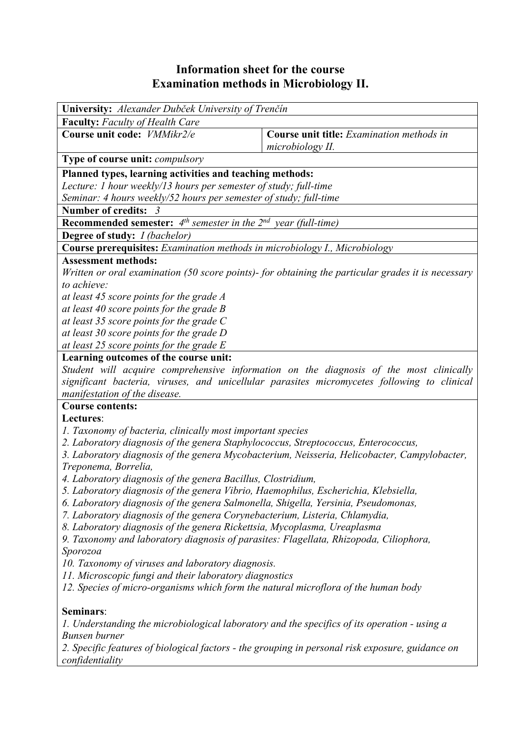## **Information sheet for the course Examination methods in Microbiology II.**

| University: Alexander Dubček University of Trenčín                                                 |                                                                                             |  |  |  |  |
|----------------------------------------------------------------------------------------------------|---------------------------------------------------------------------------------------------|--|--|--|--|
| <b>Faculty:</b> Faculty of Health Care                                                             |                                                                                             |  |  |  |  |
| Course unit code: VMMikr2/e                                                                        | Course unit title: Examination methods in<br>microbiology II.                               |  |  |  |  |
| Type of course unit: <i>compulsory</i>                                                             |                                                                                             |  |  |  |  |
| Planned types, learning activities and teaching methods:                                           |                                                                                             |  |  |  |  |
| Lecture: 1 hour weekly/13 hours per semester of study; full-time                                   |                                                                                             |  |  |  |  |
| Seminar: 4 hours weekly/52 hours per semester of study; full-time                                  |                                                                                             |  |  |  |  |
| Number of credits: 3                                                                               |                                                                                             |  |  |  |  |
| <b>Recommended semester:</b> $4^{th}$ semester in the $2^{nd}$ year (full-time)                    |                                                                                             |  |  |  |  |
| <b>Degree of study:</b> <i>I (bachelor)</i>                                                        |                                                                                             |  |  |  |  |
| Course prerequisites: Examination methods in microbiology I., Microbiology                         |                                                                                             |  |  |  |  |
| <b>Assessment methods:</b>                                                                         |                                                                                             |  |  |  |  |
| Written or oral examination (50 score points)- for obtaining the particular grades it is necessary |                                                                                             |  |  |  |  |
| to achieve:                                                                                        |                                                                                             |  |  |  |  |
| at least 45 score points for the grade A                                                           |                                                                                             |  |  |  |  |
| at least 40 score points for the grade $B$                                                         |                                                                                             |  |  |  |  |
| at least 35 score points for the grade $C$                                                         |                                                                                             |  |  |  |  |
| at least 30 score points for the grade D                                                           |                                                                                             |  |  |  |  |
| at least 25 score points for the grade E<br>Learning outcomes of the course unit:                  |                                                                                             |  |  |  |  |
|                                                                                                    | Student will acquire comprehensive information on the diagnosis of the most clinically      |  |  |  |  |
|                                                                                                    | significant bacteria, viruses, and unicellular parasites micromycetes following to clinical |  |  |  |  |
| manifestation of the disease.                                                                      |                                                                                             |  |  |  |  |
| <b>Course contents:</b>                                                                            |                                                                                             |  |  |  |  |
| Lectures:                                                                                          |                                                                                             |  |  |  |  |
| 1. Taxonomy of bacteria, clinically most important species                                         |                                                                                             |  |  |  |  |
| 2. Laboratory diagnosis of the genera Staphylococcus, Streptococcus, Enterococcus,                 |                                                                                             |  |  |  |  |
| 3. Laboratory diagnosis of the genera Mycobacterium, Neisseria, Helicobacter, Campylobacter,       |                                                                                             |  |  |  |  |
| Treponema, Borrelia,                                                                               |                                                                                             |  |  |  |  |
| 4. Laboratory diagnosis of the genera Bacillus, Clostridium,                                       |                                                                                             |  |  |  |  |
| 5. Laboratory diagnosis of the genera Vibrio, Haemophilus, Escherichia, Klebsiella,                |                                                                                             |  |  |  |  |
| 6. Laboratory diagnosis of the genera Salmonella, Shigella, Yersinia, Pseudomonas,                 |                                                                                             |  |  |  |  |
| 7. Laboratory diagnosis of the genera Corynebacterium, Listeria, Chlamydia,                        |                                                                                             |  |  |  |  |
| 8. Laboratory diagnosis of the genera Rickettsia, Mycoplasma, Ureaplasma                           |                                                                                             |  |  |  |  |
| 9. Taxonomy and laboratory diagnosis of parasites: Flagellata, Rhizopoda, Ciliophora,              |                                                                                             |  |  |  |  |
| Sporozoa                                                                                           |                                                                                             |  |  |  |  |
| 10. Taxonomy of viruses and laboratory diagnosis.                                                  |                                                                                             |  |  |  |  |
| 11. Microscopic fungi and their laboratory diagnostics                                             |                                                                                             |  |  |  |  |
| 12. Species of micro-organisms which form the natural microflora of the human body                 |                                                                                             |  |  |  |  |
| Seminars:                                                                                          |                                                                                             |  |  |  |  |
| 1. Understanding the microbiological laboratory and the specifics of its operation - using a       |                                                                                             |  |  |  |  |
| <b>Bunsen burner</b>                                                                               |                                                                                             |  |  |  |  |
| 2. Specific features of biological factors - the grouping in personal risk exposure, guidance on   |                                                                                             |  |  |  |  |
| confidentiality                                                                                    |                                                                                             |  |  |  |  |